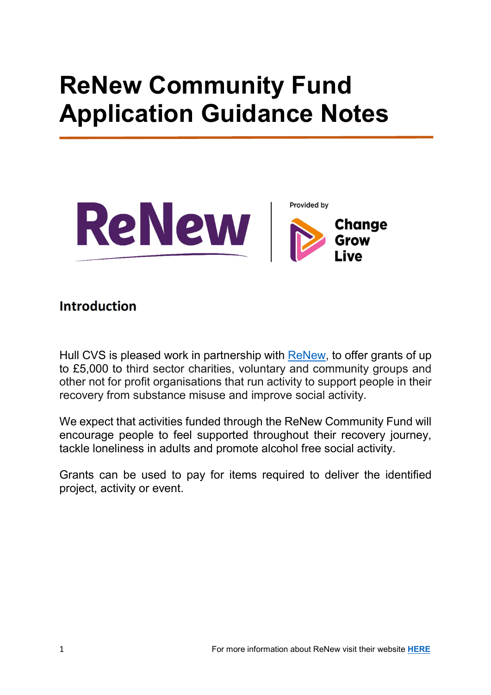# ReNew Community Fund Application Guidance Notes





#### Introduction

Hull CVS is pleased work in partnership with ReNew, to offer grants of up to £5,000 to third sector charities, voluntary and community groups and other not for profit organisations that run activity to support people in their recovery from substance misuse and improve social activity.

We expect that activities funded through the ReNew Community Fund will encourage people to feel supported throughout their recovery journey, tackle loneliness in adults and promote alcohol free social activity.

Grants can be used to pay for items required to deliver the identified project, activity or event.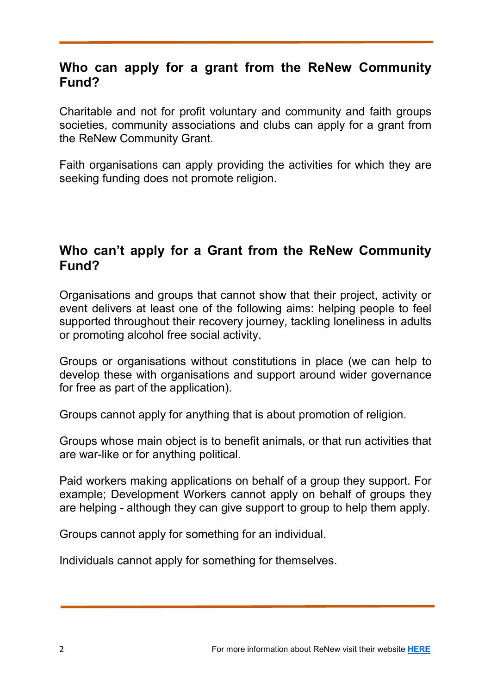#### Who can apply for a grant from the ReNew Community Fund?

Charitable and not for profit voluntary and community and faith groups societies, community associations and clubs can apply for a grant from the ReNew Community Grant.

Faith organisations can apply providing the activities for which they are seeking funding does not promote religion.

#### Who can't apply for a Grant from the ReNew Community Fund?

Organisations and groups that cannot show that their project, activity or event delivers at least one of the following aims: helping people to feel supported throughout their recovery journey, tackling loneliness in adults or promoting alcohol free social activity.

Groups or organisations without constitutions in place (we can help to develop these with organisations and support around wider governance for free as part of the application).

Groups cannot apply for anything that is about promotion of religion.

Groups whose main object is to benefit animals, or that run activities that are war-like or for anything political.

Paid workers making applications on behalf of a group they support. For example; Development Workers cannot apply on behalf of groups they are helping - although they can give support to group to help them apply.

Groups cannot apply for something for an individual.

Individuals cannot apply for something for themselves.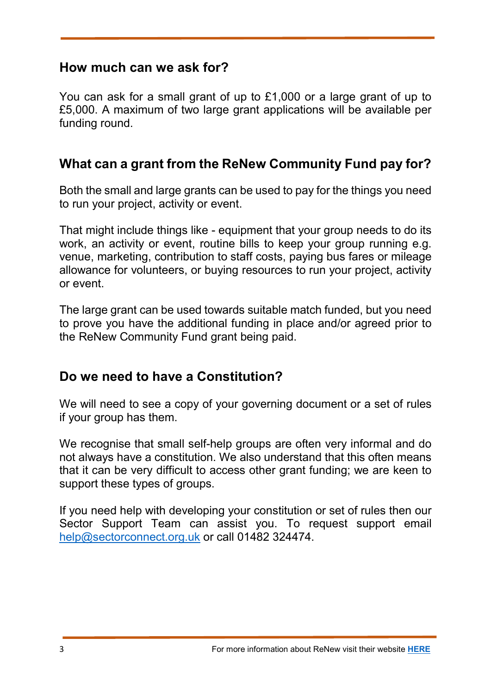#### How much can we ask for?

You can ask for a small grant of up to £1,000 or a large grant of up to £5,000. A maximum of two large grant applications will be available per funding round.

## What can a grant from the ReNew Community Fund pay for?

Both the small and large grants can be used to pay for the things you need to run your project, activity or event.

That might include things like - equipment that your group needs to do its work, an activity or event, routine bills to keep your group running e.g. venue, marketing, contribution to staff costs, paying bus fares or mileage allowance for volunteers, or buying resources to run your project, activity or event.

The large grant can be used towards suitable match funded, but you need to prove you have the additional funding in place and/or agreed prior to the ReNew Community Fund grant being paid.

## Do we need to have a Constitution?

We will need to see a copy of your governing document or a set of rules if your group has them.

We recognise that small self-help groups are often very informal and do not always have a constitution. We also understand that this often means that it can be very difficult to access other grant funding; we are keen to support these types of groups.

If you need help with developing your constitution or set of rules then our Sector Support Team can assist you. To request support email help@sectorconnect.org.uk or call 01482 324474.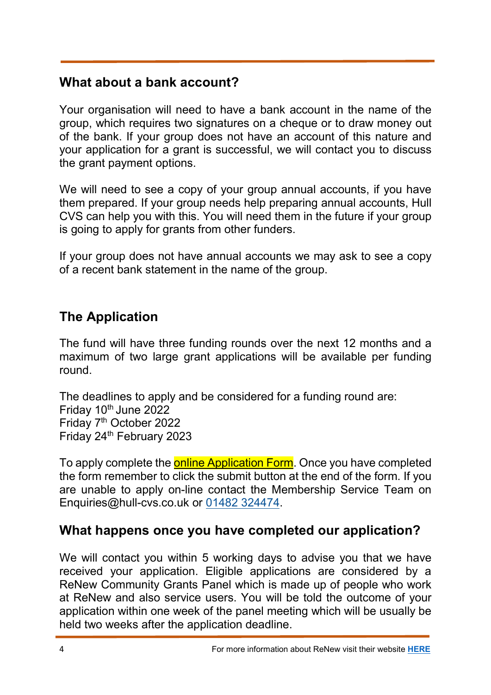## What about a bank account?

Your organisation will need to have a bank account in the name of the group, which requires two signatures on a cheque or to draw money out of the bank. If your group does not have an account of this nature and your application for a grant is successful, we will contact you to discuss the grant payment options.

We will need to see a copy of your group annual accounts, if you have them prepared. If your group needs help preparing annual accounts, Hull CVS can help you with this. You will need them in the future if your group is going to apply for grants from other funders.

If your group does not have annual accounts we may ask to see a copy of a recent bank statement in the name of the group.

## The Application

The fund will have three funding rounds over the next 12 months and a maximum of two large grant applications will be available per funding round.

The deadlines to apply and be considered for a funding round are: Friday 10th June 2022 Friday 7th October 2022 Friday 24<sup>th</sup> February 2023

To apply complete the online Application Form. Once you have completed the form remember to click the submit button at the end of the form. If you are unable to apply on-line contact the Membership Service Team on Enquiries@hull-cvs.co.uk or 01482 324474.

## What happens once you have completed our application?

We will contact you within 5 working days to advise you that we have received your application. Eligible applications are considered by a ReNew Community Grants Panel which is made up of people who work at ReNew and also service users. You will be told the outcome of your application within one week of the panel meeting which will be usually be held two weeks after the application deadline.